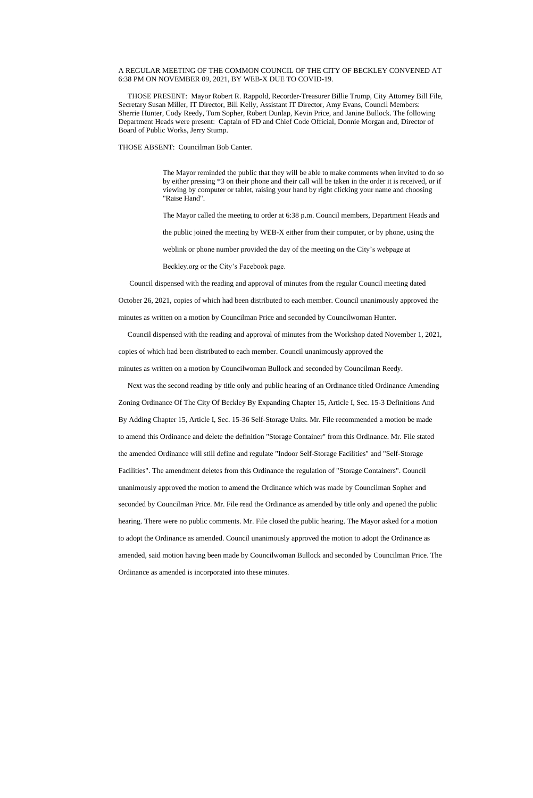## A REGULAR MEETING OF THE COMMON COUNCIL OF THE CITY OF BECKLEY CONVENED AT 6:38 PM ON NOVEMBER 09, 2021, BY WEB-X DUE TO COVID-19.

 THOSE PRESENT: Mayor Robert R. Rappold, Recorder-Treasurer Billie Trump, City Attorney Bill File, Secretary Susan Miller, IT Director, Bill Kelly, Assistant IT Director, Amy Evans, Council Members: Sherrie Hunter, Cody Reedy, Tom Sopher, Robert Dunlap, Kevin Price, and Janine Bullock. The following Department Heads were present: Captain of FD and Chief Code Official, Donnie Morgan and, Director of Board of Public Works, Jerry Stump.

THOSE ABSENT: Councilman Bob Canter.

The Mayor reminded the public that they will be able to make comments when invited to do so by either pressing \*3 on their phone and their call will be taken in the order it is received, or if viewing by computer or tablet, raising your hand by right clicking your name and choosing "Raise Hand".

The Mayor called the meeting to order at 6:38 p.m. Council members, Department Heads and

the public joined the meeting by WEB-X either from their computer, or by phone, using the

weblink or phone number provided the day of the meeting on the City's webpage at

Beckley.org or the City's Facebook page.

Council dispensed with the reading and approval of minutes from the regular Council meeting dated

October 26, 2021, copies of which had been distributed to each member. Council unanimously approved the

minutes as written on a motion by Councilman Price and seconded by Councilwoman Hunter.

Council dispensed with the reading and approval of minutes from the Workshop dated November 1, 2021,

copies of which had been distributed to each member. Council unanimously approved the

minutes as written on a motion by Councilwoman Bullock and seconded by Councilman Reedy.

 Next was the second reading by title only and public hearing of an Ordinance titled Ordinance Amending Zoning Ordinance Of The City Of Beckley By Expanding Chapter 15, Article I, Sec. 15-3 Definitions And By Adding Chapter 15, Article I, Sec. 15-36 Self-Storage Units. Mr. File recommended a motion be made to amend this Ordinance and delete the definition "Storage Container" from this Ordinance. Mr. File stated the amended Ordinance will still define and regulate "Indoor Self-Storage Facilities" and "Self-Storage Facilities". The amendment deletes from this Ordinance the regulation of "Storage Containers". Council unanimously approved the motion to amend the Ordinance which was made by Councilman Sopher and seconded by Councilman Price. Mr. File read the Ordinance as amended by title only and opened the public hearing. There were no public comments. Mr. File closed the public hearing. The Mayor asked for a motion to adopt the Ordinance as amended. Council unanimously approved the motion to adopt the Ordinance as

amended, said motion having been made by Councilwoman Bullock and seconded by Councilman Price. The

Ordinance as amended is incorporated into these minutes.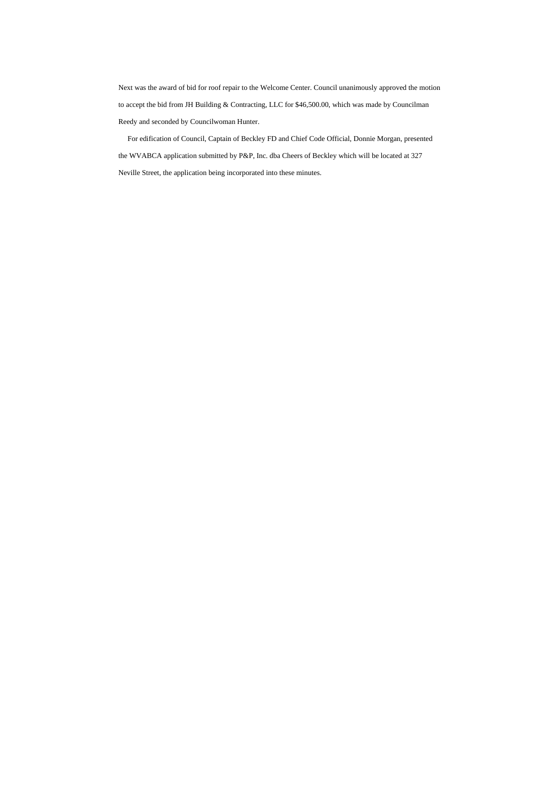Next was the award of bid for roof repair to the Welcome Center. Council unanimously approved the motion to accept the bid from JH Building & Contracting, LLC for \$46,500.00, which was made by Councilman Reedy and seconded by Councilwoman Hunter.

 For edification of Council, Captain of Beckley FD and Chief Code Official, Donnie Morgan, presented the WVABCA application submitted by P&P, Inc. dba Cheers of Beckley which will be located at 327 Neville Street, the application being incorporated into these minutes.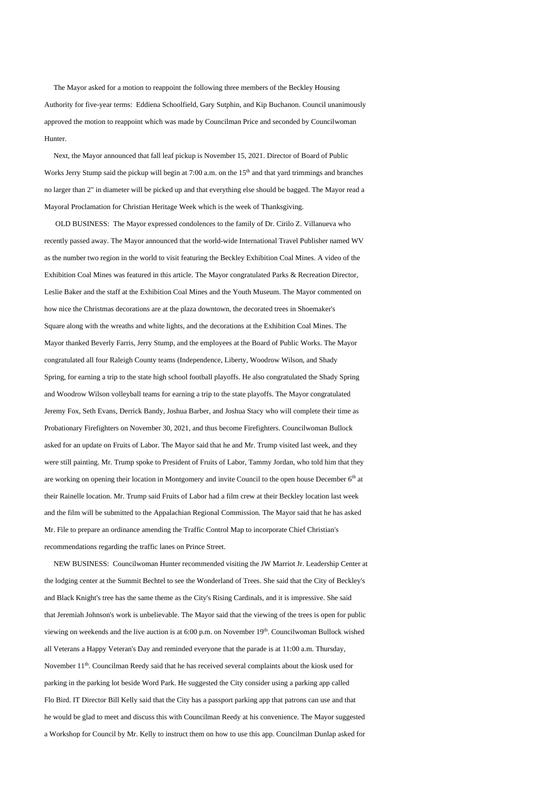The Mayor asked for a motion to reappoint the following three members of the Beckley Housing Authority for five-year terms: Eddiena Schoolfield, Gary Sutphin, and Kip Buchanon. Council unanimously approved the motion to reappoint which was made by Councilman Price and seconded by Councilwoman Hunter.

 Next, the Mayor announced that fall leaf pickup is November 15, 2021. Director of Board of Public Works Jerry Stump said the pickup will begin at 7:00 a.m. on the 15<sup>th</sup> and that yard trimmings and branches no larger than 2" in diameter will be picked up and that everything else should be bagged. The Mayor read a Mayoral Proclamation for Christian Heritage Week which is the week of Thanksgiving.

 OLD BUSINESS: The Mayor expressed condolences to the family of Dr. Cirilo Z. Villanueva who recently passed away. The Mayor announced that the world-wide International Travel Publisher named WV as the number two region in the world to visit featuring the Beckley Exhibition Coal Mines. A video of the Exhibition Coal Mines was featured in this article. The Mayor congratulated Parks & Recreation Director, Leslie Baker and the staff at the Exhibition Coal Mines and the Youth Museum. The Mayor commented on how nice the Christmas decorations are at the plaza downtown, the decorated trees in Shoemaker's Square along with the wreaths and white lights, and the decorations at the Exhibition Coal Mines. The Mayor thanked Beverly Farris, Jerry Stump, and the employees at the Board of Public Works. The Mayor congratulated all four Raleigh County teams (Independence, Liberty, Woodrow Wilson, and Shady Spring, for earning a trip to the state high school football playoffs. He also congratulated the Shady Spring and Woodrow Wilson volleyball teams for earning a trip to the state playoffs. The Mayor congratulated Jeremy Fox, Seth Evans, Derrick Bandy, Joshua Barber, and Joshua Stacy who will complete their time as Probationary Firefighters on November 30, 2021, and thus become Firefighters. Councilwoman Bullock asked for an update on Fruits of Labor. The Mayor said that he and Mr. Trump visited last week, and they were still painting. Mr. Trump spoke to President of Fruits of Labor, Tammy Jordan, who told him that they are working on opening their location in Montgomery and invite Council to the open house December 6<sup>th</sup> at their Rainelle location. Mr. Trump said Fruits of Labor had a film crew at their Beckley location last week and the film will be submitted to the Appalachian Regional Commission. The Mayor said that he has asked Mr. File to prepare an ordinance amending the Traffic Control Map to incorporate Chief Christian's recommendations regarding the traffic lanes on Prince Street.

 NEW BUSINESS: Councilwoman Hunter recommended visiting the JW Marriot Jr. Leadership Center at the lodging center at the Summit Bechtel to see the Wonderland of Trees. She said that the City of Beckley's and Black Knight's tree has the same theme as the City's Rising Cardinals, and it is impressive. She said that Jeremiah Johnson's work is unbelievable. The Mayor said that the viewing of the trees is open for public viewing on weekends and the live auction is at 6:00 p.m. on November 19<sup>th</sup>. Councilwoman Bullock wished all Veterans a Happy Veteran's Day and reminded everyone that the parade is at 11:00 a.m. Thursday, November 11<sup>th</sup>. Councilman Reedy said that he has received several complaints about the kiosk used for parking in the parking lot beside Word Park. He suggested the City consider using a parking app called Flo Bird. IT Director Bill Kelly said that the City has a passport parking app that patrons can use and that he would be glad to meet and discuss this with Councilman Reedy at his convenience. The Mayor suggested a Workshop for Council by Mr. Kelly to instruct them on how to use this app. Councilman Dunlap asked for